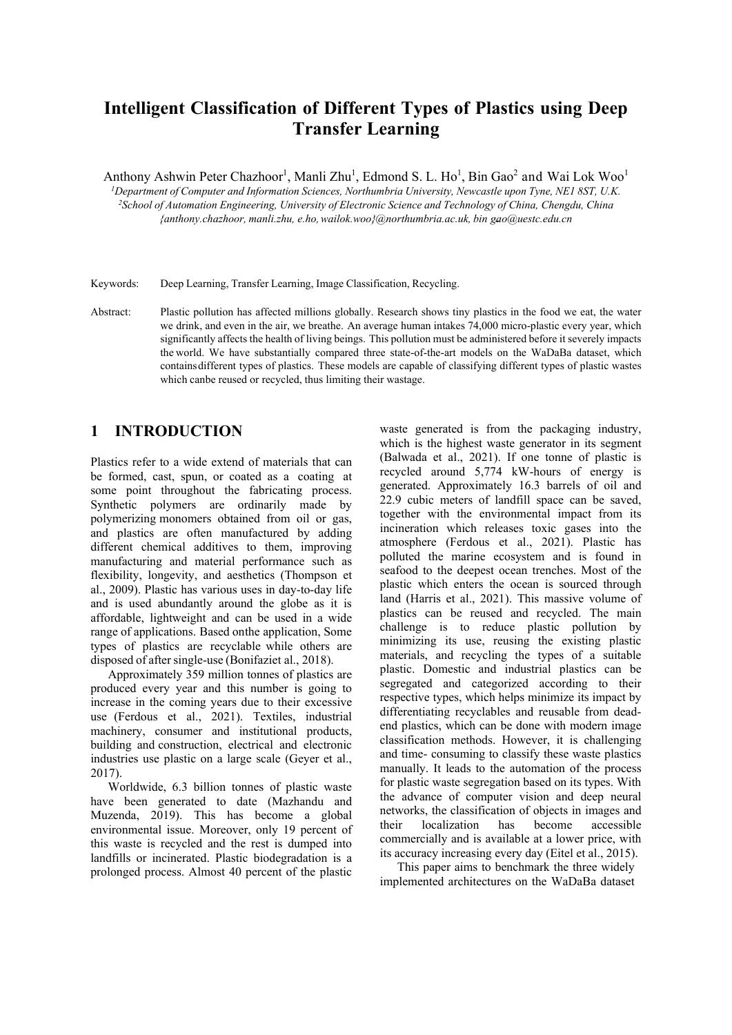# **Intelligent Classification of Different Types of Plastics using Deep Transfer Learning**

Anthony Ashwin Peter Chazhoor<sup>1</sup>, Manli Zhu<sup>1</sup>, Edmond S. L. Ho<sup>1</sup>, Bin Gao<sup>2</sup> and Wai Lok Woo<sup>1</sup>

<sup>1</sup>Department of Computer and Information Sciences, Northumbria University, Newcastle upon Tyne, NE1 8ST, U.K. <sup>2</sup> School of Automation Engineering, University of Electronic Science and Technology of China, Chengdu, China *{anthony.chazhoor, manli.zhu, e.ho, wailok.woo}@northumbria.ac.uk, bin gao@uestc.edu.cn* 

Keywords: Deep Learning, Transfer Learning, Image Classification, Recycling.

Abstract: Plastic pollution has affected millions globally. Research shows tiny plastics in the food we eat, the water we drink, and even in the air, we breathe. An average human intakes 74,000 micro-plastic every year, which significantly affects the health of living beings. This pollution must be administered before it severely impacts the world. We have substantially compared three state-of-the-art models on the WaDaBa dataset, which contains different types of plastics. These models are capable of classifying different types of plastic wastes which canbe reused or recycled, thus limiting their wastage.

### **1 INTRODUCTION**

Plastics refer to a wide extend of materials that can be formed, cast, spun, or coated as a coating at some point throughout the fabricating process. Synthetic polymers are ordinarily made by polymerizing monomers obtained from oil or gas, and plastics are often manufactured by adding different chemical additives to them, improving manufacturing and material performance such as flexibility, longevity, and aesthetics (Thompson et al., 2009). Plastic has various uses in day-to-day life and is used abundantly around the globe as it is affordable, lightweight and can be used in a wide range of applications. Based on the application, Some types of plastics are recyclable while others are disposed of after single-use (Bonifaziet al., 2018).

Approximately 359 million tonnes of plastics are produced every year and this number is going to increase in the coming years due to their excessive use (Ferdous et al., 2021). Textiles, industrial machinery, consumer and institutional products, building and construction, electrical and electronic industries use plastic on a large scale (Geyer et al., 2017).

Worldwide, 6.3 billion tonnes of plastic waste have been generated to date (Mazhandu and Muzenda, 2019). This has become a global environmental issue. Moreover, only 19 percent of this waste is recycled and the rest is dumped into landfills or incinerated. Plastic biodegradation is a prolonged process. Almost 40 percent of the plastic

waste generated is from the packaging industry, which is the highest waste generator in its segment (Balwada et al., 2021). If one tonne of plastic is recycled around 5,774 kW-hours of energy is generated. Approximately 16.3 barrels of oil and 22.9 cubic meters of landfill space can be saved, together with the environmental impact from its incineration which releases toxic gases into the atmosphere (Ferdous et al., 2021). Plastic has polluted the marine ecosystem and is found in seafood to the deepest ocean trenches. Most of the plastic which enters the ocean is sourced through land (Harris et al., 2021). This massive volume of plastics can be reused and recycled. The main challenge is to reduce plastic pollution by minimizing its use, reusing the existing plastic materials, and recycling the types of a suitable plastic. Domestic and industrial plastics can be segregated and categorized according to their respective types, which helps minimize its impact by differentiating recyclables and reusable from deadend plastics, which can be done with modern image classification methods. However, it is challenging and time- consuming to classify these waste plastics manually. It leads to the automation of the process for plastic waste segregation based on its types. With the advance of computer vision and deep neural networks, the classification of objects in images and their localization has become accessible commercially and is available at a lower price, with its accuracy increasing every day (Eitel et al., 2015).

This paper aims to benchmark the three widely implemented architectures on the WaDaBa dataset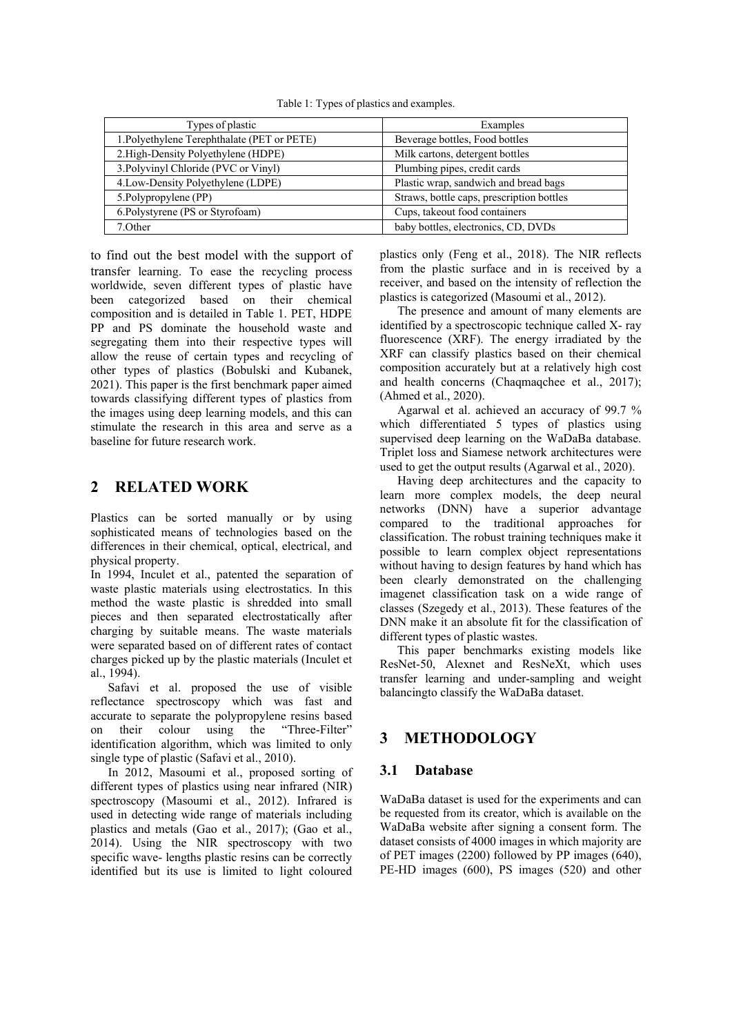Table 1: Types of plastics and examples.

| Types of plastic                            | Examples                                  |
|---------------------------------------------|-------------------------------------------|
| 1. Polyethylene Terephthalate (PET or PETE) | Beverage bottles, Food bottles            |
| 2. High-Density Polyethylene (HDPE)         | Milk cartons, detergent bottles           |
| 3. Polyvinyl Chloride (PVC or Vinyl)        | Plumbing pipes, credit cards              |
| 4. Low-Density Polyethylene (LDPE)          | Plastic wrap, sandwich and bread bags     |
| 5. Polypropylene (PP)                       | Straws, bottle caps, prescription bottles |
| 6. Polystyrene (PS or Styrofoam)            | Cups, takeout food containers             |
| 7.Other                                     | baby bottles, electronics, CD, DVDs       |

to find out the best model with the support of transfer learning. To ease the recycling process worldwide, seven different types of plastic have been categorized based on their chemical composition and is detailed in Table 1. PET, HDPE PP and PS dominate the household waste and segregating them into their respective types will allow the reuse of certain types and recycling of other types of plastics (Bobulski and Kubanek, 2021). This paper is the first benchmark paper aimed towards classifying different types of plastics from the images using deep learning models, and this can stimulate the research in this area and serve as a baseline for future research work.

### **2 RELATED WORK**

Plastics can be sorted manually or by using sophisticated means of technologies based on the differences in their chemical, optical, electrical, and physical property.

In 1994, Inculet et al., patented the separation of waste plastic materials using electrostatics. In this method the waste plastic is shredded into small pieces and then separated electrostatically after charging by suitable means. The waste materials were separated based on of different rates of contact charges picked up by the plastic materials (Inculet et al., 1994).

Safavi et al. proposed the use of visible reflectance spectroscopy which was fast and accurate to separate the polypropylene resins based on their colour using the "Three-Filter" identification algorithm, which was limited to only single type of plastic (Safavi et al., 2010).

In 2012, Masoumi et al., proposed sorting of different types of plastics using near infrared (NIR) spectroscopy (Masoumi et al., 2012). Infrared is used in detecting wide range of materials including plastics and metals (Gao et al., 2017); (Gao et al., 2014). Using the NIR spectroscopy with two specific wave- lengths plastic resins can be correctly identified but its use is limited to light coloured plastics only (Feng et al., 2018). The NIR reflects from the plastic surface and in is received by a receiver, and based on the intensity of reflection the plastics is categorized (Masoumi et al., 2012).

The presence and amount of many elements are identified by a spectroscopic technique called X- ray fluorescence (XRF). The energy irradiated by the XRF can classify plastics based on their chemical composition accurately but at a relatively high cost and health concerns (Chaqmaqchee et al., 2017); (Ahmed et al., 2020).

Agarwal et al. achieved an accuracy of 99.7 % which differentiated 5 types of plastics using supervised deep learning on the WaDaBa database. Triplet loss and Siamese network architectures were used to get the output results (Agarwal et al., 2020).

Having deep architectures and the capacity to learn more complex models, the deep neural networks (DNN) have a superior advantage compared to the traditional approaches for classification. The robust training techniques make it possible to learn complex object representations without having to design features by hand which has been clearly demonstrated on the challenging imagenet classification task on a wide range of classes (Szegedy et al., 2013). These features of the DNN make it an absolute fit for the classification of different types of plastic wastes.

This paper benchmarks existing models like ResNet-50, Alexnet and ResNeXt, which uses transfer learning and under-sampling and weight balancing to classify the WaDaBa dataset.

### **3 METHODOLOGY**

### **3.1 Database**

WaDaBa dataset is used for the experiments and can be requested from its creator, which is available on the WaDaBa website after signing a consent form. The dataset consists of 4000 images in which majority are of PET images (2200) followed by PP images (640), PE-HD images (600), PS images (520) and other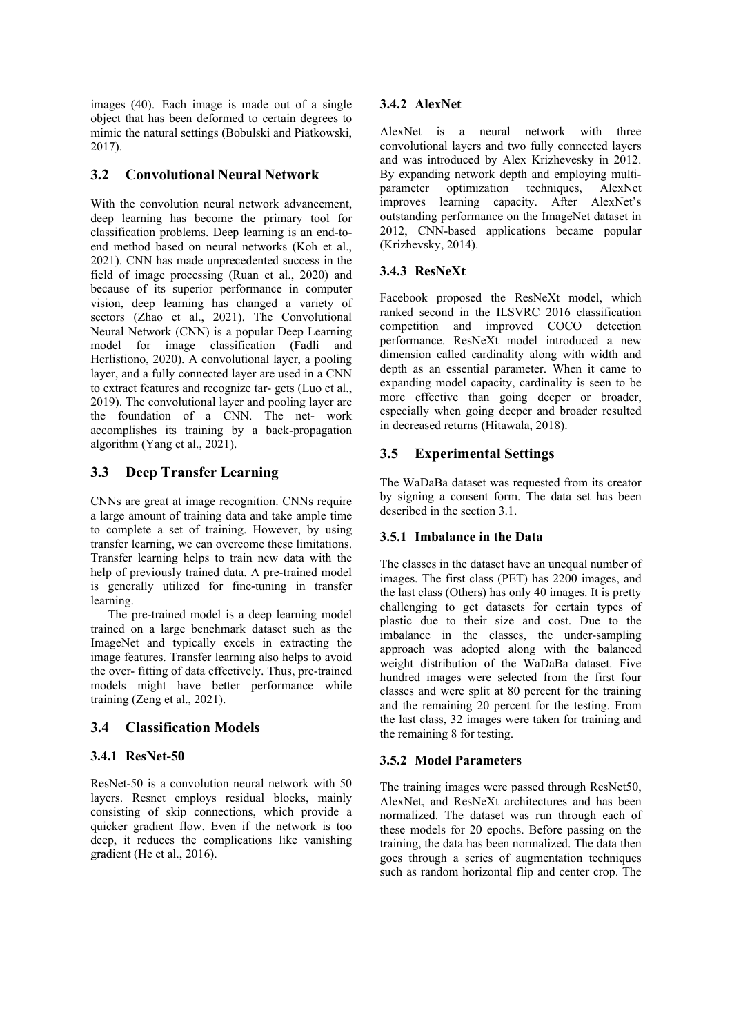images (40). Each image is made out of a single object that has been deformed to certain degrees to mimic the natural settings (Bobulski and Piatkowski, 2017).

### **3.2 Convolutional Neural Network**

With the convolution neural network advancement, deep learning has become the primary tool for classification problems. Deep learning is an end-toend method based on neural networks (Koh et al., 2021). CNN has made unprecedented success in the field of image processing (Ruan et al., 2020) and because of its superior performance in computer vision, deep learning has changed a variety of sectors (Zhao et al., 2021). The Convolutional Neural Network (CNN) is a popular Deep Learning model for image classification (Fadli and Herlistiono, 2020). A convolutional layer, a pooling layer, and a fully connected layer are used in a CNN to extract features and recognize tar- gets (Luo et al., 2019). The convolutional layer and pooling layer are the foundation of a CNN. The net- work accomplishes its training by a back-propagation algorithm (Yang et al., 2021).

### **3.3 Deep Transfer Learning**

CNNs are great at image recognition. CNNs require a large amount of training data and take ample time to complete a set of training. However, by using transfer learning, we can overcome these limitations. Transfer learning helps to train new data with the help of previously trained data. A pre-trained model is generally utilized for fine-tuning in transfer learning.

The pre-trained model is a deep learning model trained on a large benchmark dataset such as the ImageNet and typically excels in extracting the image features. Transfer learning also helps to avoid the over- fitting of data effectively. Thus, pre-trained models might have better performance while training (Zeng et al., 2021).

### **3.4 Classification Models**

### **3.4.1 ResNet-50**

ResNet-50 is a convolution neural network with 50 layers. Resnet employs residual blocks, mainly consisting of skip connections, which provide a quicker gradient flow. Even if the network is too deep, it reduces the complications like vanishing gradient (He et al., 2016).

### **3.4.2 AlexNet**

AlexNet is a neural network with three convolutional layers and two fully connected layers and was introduced by Alex Krizhevesky in 2012. By expanding network depth and employing multiparameter optimization techniques, AlexNet improves learning capacity. After AlexNet's outstanding performance on the ImageNet dataset in 2012, CNN-based applications became popular (Krizhevsky, 2014).

### **3.4.3 ResNeXt**

Facebook proposed the ResNeXt model, which ranked second in the ILSVRC 2016 classification competition and improved COCO detection performance. ResNeXt model introduced a new dimension called cardinality along with width and depth as an essential parameter. When it came to expanding model capacity, cardinality is seen to be more effective than going deeper or broader, especially when going deeper and broader resulted in decreased returns (Hitawala, 2018).

### **3.5 Experimental Settings**

The WaDaBa dataset was requested from its creator by signing a consent form. The data set has been described in the section 3.1.

### **3.5.1 Imbalance in the Data**

The classes in the dataset have an unequal number of images. The first class (PET) has 2200 images, and the last class (Others) has only 40 images. It is pretty challenging to get datasets for certain types of plastic due to their size and cost. Due to the imbalance in the classes, the under-sampling approach was adopted along with the balanced weight distribution of the WaDaBa dataset. Five hundred images were selected from the first four classes and were split at 80 percent for the training and the remaining 20 percent for the testing. From the last class, 32 images were taken for training and the remaining 8 for testing.

### **3.5.2 Model Parameters**

The training images were passed through ResNet50, AlexNet, and ResNeXt architectures and has been normalized. The dataset was run through each of these models for 20 epochs. Before passing on the training, the data has been normalized. The data then goes through a series of augmentation techniques such as random horizontal flip and center crop. The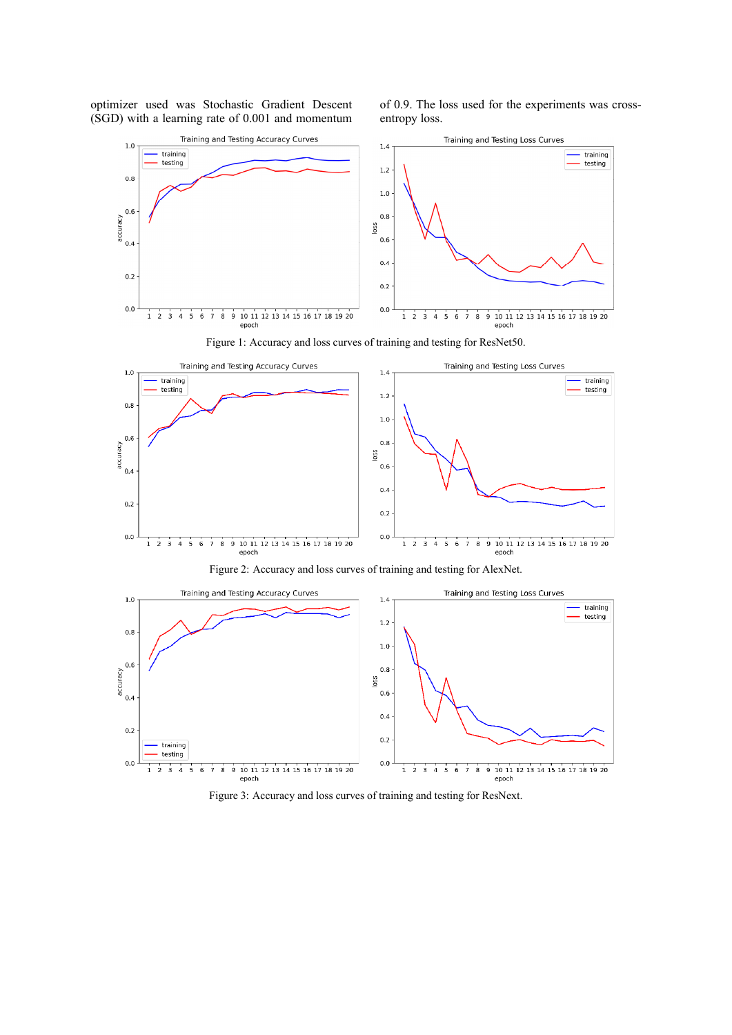optimizer used was Stochastic Gradient Descent (SGD) with a learning rate of 0.001 and momentum of 0.9. The loss used for the experiments was crossentropy loss.



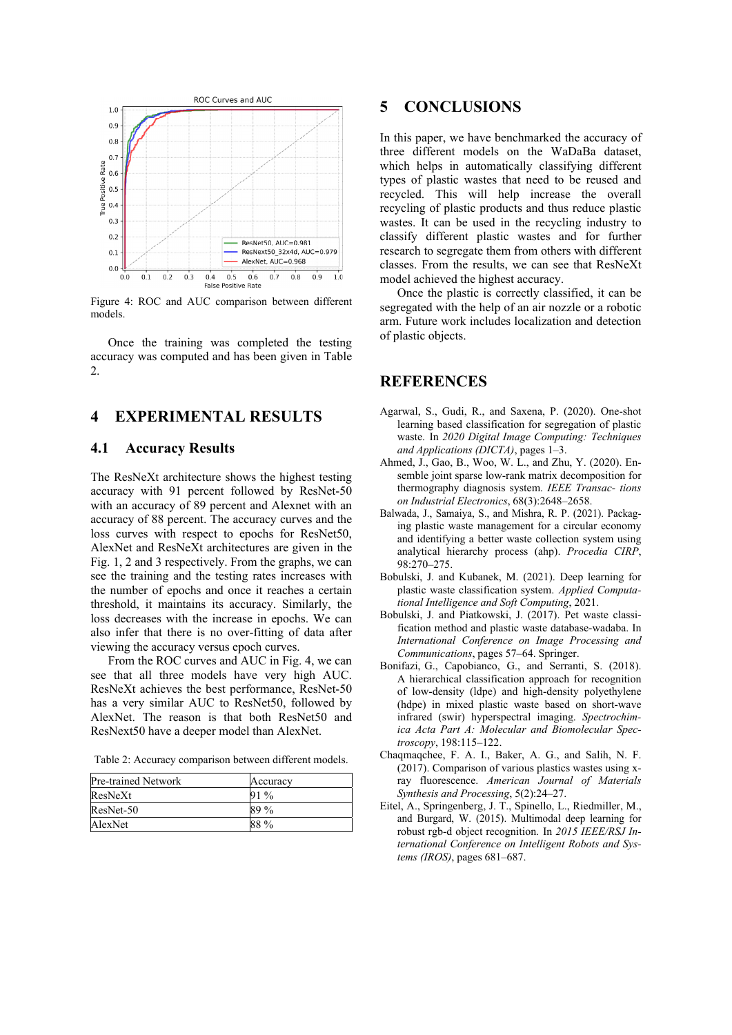

Figure 4: ROC and AUC comparison between different models.

Once the training was completed the testing accuracy was computed and has been given in Table 2.

## **4 EXPERIMENTAL RESULTS**

#### **4.1 Accuracy Results**

The ResNeXt architecture shows the highest testing accuracy with 91 percent followed by ResNet-50 with an accuracy of 89 percent and Alexnet with an accuracy of 88 percent. The accuracy curves and the loss curves with respect to epochs for ResNet50, AlexNet and ResNeXt architectures are given in the Fig. 1, 2 and 3 respectively. From the graphs, we can see the training and the testing rates increases with the number of epochs and once it reaches a certain threshold, it maintains its accuracy. Similarly, the loss decreases with the increase in epochs. We can also infer that there is no over-fitting of data after viewing the accuracy versus epoch curves.

From the ROC curves and AUC in Fig. 4, we can see that all three models have very high AUC. ResNeXt achieves the best performance, ResNet-50 has a very similar AUC to ResNet50, followed by AlexNet. The reason is that both ResNet50 and ResNext50 have a deeper model than AlexNet.

Table 2: Accuracy comparison between different models.

| Pre-trained Network | Accuracy |
|---------------------|----------|
| ResNeXt             | $91\%$   |
| ResNet-50           | 89%      |
| AlexNet             | 88 %     |

### **5 CONCLUSIONS**

In this paper, we have benchmarked the accuracy of three different models on the WaDaBa dataset, which helps in automatically classifying different types of plastic wastes that need to be reused and recycled. This will help increase the overall recycling of plastic products and thus reduce plastic wastes. It can be used in the recycling industry to classify different plastic wastes and for further research to segregate them from others with different classes. From the results, we can see that ResNeXt model achieved the highest accuracy.

Once the plastic is correctly classified, it can be segregated with the help of an air nozzle or a robotic arm. Future work includes localization and detection of plastic objects.

#### **REFERENCES**

- Agarwal, S., Gudi, R., and Saxena, P. (2020). One-shot learning based classification for segregation of plastic waste. In *2020 Digital Image Computing: Techniques and Applications (DICTA)*, pages 1–3.
- Ahmed, J., Gao, B., Woo, W. L., and Zhu, Y. (2020). Ensemble joint sparse low-rank matrix decomposition for thermography diagnosis system. *IEEE Transac- tions on Industrial Electronics*, 68(3):2648–2658.
- Balwada, J., Samaiya, S., and Mishra, R. P. (2021). Packaging plastic waste management for a circular economy and identifying a better waste collection system using analytical hierarchy process (ahp). *Procedia CIRP*, 98:270–275.
- Bobulski, J. and Kubanek, M. (2021). Deep learning for plastic waste classification system. *Applied Computational Intelligence and Soft Computing*, 2021.
- Bobulski, J. and Piatkowski, J. (2017). Pet waste classification method and plastic waste database-wadaba. In *International Conference on Image Processing and Communications*, pages 57–64. Springer.
- Bonifazi, G., Capobianco, G., and Serranti, S. (2018). A hierarchical classification approach for recognition of low-density (ldpe) and high-density polyethylene (hdpe) in mixed plastic waste based on short-wave infrared (swir) hyperspectral imaging. *Spectrochimica Acta Part A: Molecular and Biomolecular Spectroscopy*, 198:115–122.
- Chaqmaqchee, F. A. I., Baker, A. G., and Salih, N. F. (2017). Comparison of various plastics wastes using xray fluorescence. *American Journal of Materials Synthesis and Processing*, 5(2):24–27.
- Eitel, A., Springenberg, J. T., Spinello, L., Riedmiller, M., and Burgard, W. (2015). Multimodal deep learning for robust rgb-d object recognition. In *2015 IEEE/RSJ International Conference on Intelligent Robots and Systems (IROS)*, pages 681–687.